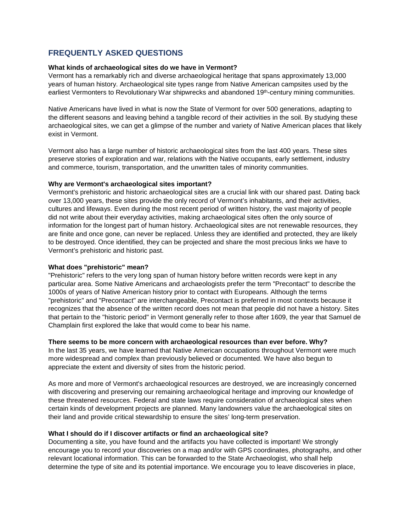# **FREQUENTLY ASKED QUESTIONS**

### **What kinds of archaeological sites do we have in Vermont?**

Vermont has a remarkably rich and diverse archaeological heritage that spans approximately 13,000 years of human history. Archaeological site types range from Native American campsites used by the earliest Vermonters to Revolutionary War shipwrecks and abandoned 19<sup>th</sup>-century mining communities.

Native Americans have lived in what is now the State of Vermont for over 500 generations, adapting to the different seasons and leaving behind a tangible record of their activities in the soil. By studying these archaeological sites, we can get a glimpse of the number and variety of Native American places that likely exist in Vermont.

Vermont also has a large number of historic archaeological sites from the last 400 years. These sites preserve stories of exploration and war, relations with the Native occupants, early settlement, industry and commerce, tourism, transportation, and the unwritten tales of minority communities.

### **Why are Vermont's archaeological sites important?**

Vermont's prehistoric and historic archaeological sites are a crucial link with our shared past. Dating back over 13,000 years, these sites provide the only record of Vermont's inhabitants, and their activities, cultures and lifeways. Even during the most recent period of written history, the vast majority of people did not write about their everyday activities, making archaeological sites often the only source of information for the longest part of human history. Archaeological sites are not renewable resources, they are finite and once gone, can never be replaced. Unless they are identified and protected, they are likely to be destroyed. Once identified, they can be projected and share the most precious links we have to Vermont's prehistoric and historic past.

### **What does "prehistoric" mean?**

"Prehistoric" refers to the very long span of human history before written records were kept in any particular area. Some Native Americans and archaeologists prefer the term "Precontact" to describe the 1000s of years of Native American history prior to contact with Europeans. Although the terms "prehistoric" and "Precontact" are interchangeable, Precontact is preferred in most contexts because it recognizes that the absence of the written record does not mean that people did not have a history. Sites that pertain to the "historic period" in Vermont generally refer to those after 1609, the year that Samuel de Champlain first explored the lake that would come to bear his name.

### **There seems to be more concern with archaeological resources than ever before. Why?**

In the last 35 years, we have learned that Native American occupations throughout Vermont were much more widespread and complex than previously believed or documented. We have also begun to appreciate the extent and diversity of sites from the historic period.

As more and more of Vermont's archaeological resources are destroyed, we are increasingly concerned with discovering and preserving our remaining archaeological heritage and improving our knowledge of these threatened resources. Federal and state laws require consideration of archaeological sites when certain kinds of development projects are planned. Many landowners value the archaeological sites on their land and provide critical stewardship to ensure the sites' long-term preservation.

# **What I should do if I discover artifacts or find an archaeological site?**

Documenting a site, you have found and the artifacts you have collected is important! We strongly encourage you to record your discoveries on a map and/or with GPS coordinates, photographs, and other relevant locational information. This can be forwarded to the State Archaeologist, who shall help determine the type of site and its potential importance. We encourage you to leave discoveries in place,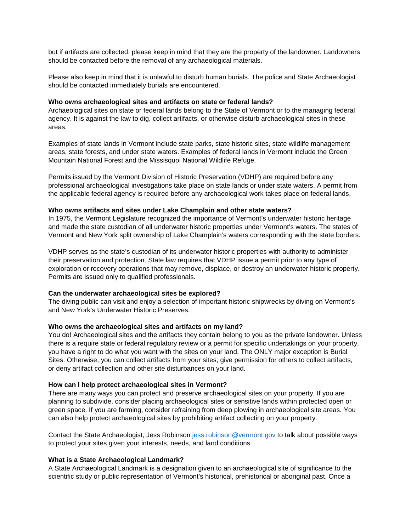but if artifacts are collected, please keep in mind that they are the property of the landowner. Landowners should be contacted before the removal of any archaeological materials.

Please also keep in mind that it is unlawful to disturb human burials. The police and State Archaeologist should be contacted immediately burials are encountered.

#### **Who owns archaeological sites and artifacts on state or federal lands?**

Archaeological sites on state or federal lands belong to the State of Vermont or to the managing federal agency. It is against the law to dig, collect artifacts, or otherwise disturb archaeological sites in these areas.

Examples of state lands in Vermont include state parks, state historic sites, state wildlife management areas, state forests, and under state waters. Examples of federal lands in Vermont include the Green Mountain National Forest and the Missisquoi National Wildlife Refuge.

Permits issued by the Vermont Division of Historic Preservation (VDHP) are required before any professional archaeological investigations take place on state lands or under state waters. A permit from the applicable federal agency is required before any archaeological work takes place on federal lands.

#### **Who owns artifacts and sites under Lake Champlain and other state waters?**

In 1975, the Vermont Legislature recognized the importance of Vermont's underwater historic heritage and made the state custodian of all underwater historic properties under Vermont's waters. The states of Vermont and New York split ownership of Lake Champlain's waters corresponding with the state borders.

VDHP serves as the state's custodian of its underwater historic properties with authority to administer their preservation and protection. State law requires that VDHP issue a permit prior to any type of exploration or recovery operations that may remove, displace, or destroy an underwater historic property. Permits are issued only to qualified professionals.

#### **Can the underwater archaeological sites be explored?**

The diving public can visit and enjoy a selection of important historic shipwrecks by diving on Vermont's and New York's Underwater Historic Preserves.

#### **Who owns the archaeological sites and artifacts on my land?**

You do! Archaeological sites and the artifacts they contain belong to you as the private landowner. Unless there is a require state or federal regulatory review or a permit for specific undertakings on your property, you have a right to do what you want with the sites on your land. The ONLY major exception is Burial Sites. Otherwise, you can collect artifacts from your sites, give permission for others to collect artifacts, or deny artifact collection and other site disturbances on your land.

#### **How can I help protect archaeological sites in Vermont?**

There are many ways you can protect and preserve archaeological sites on your property. If you are planning to subdivide, consider placing archaeological sites or sensitive lands within protected open or green space. If you are farming, consider refraining from deep plowing in archaeological site areas. You can also help protect archaeological sites by prohibiting artifact collecting on your property.

Contact the State Archaeologist, Jess Robinson [jess.robinson@vermont.gov](mailto:jess.robinson@vermont.gov) to talk about possible ways to protect your sites given your interests, needs, and land conditions.

#### **What is a State Archaeological Landmark?**

A State Archaeological Landmark is a designation given to an archaeological site of significance to the scientific study or public representation of Vermont's historical, prehistorical or aboriginal past. Once a